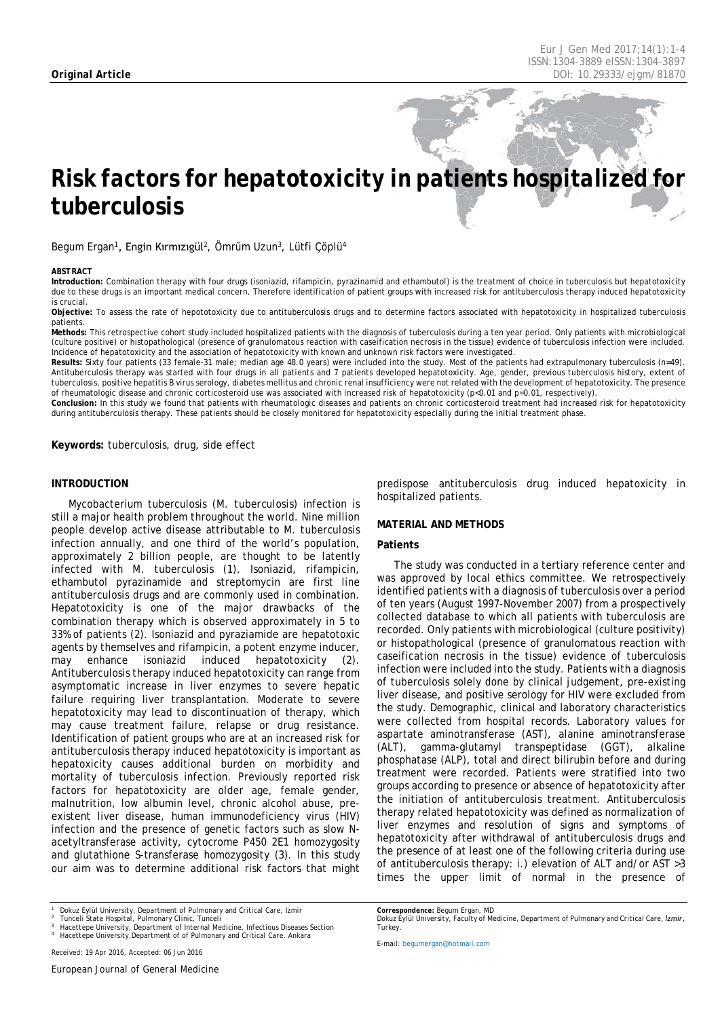# *Risk factors for hepatotoxicity in patients hospitalized for tuberculosis*

Begum Ergan<sup>1</sup>, Engin Kırmızıgül<sup>2</sup>, Ömrüm Uzun<sup>3</sup>, Lütfi Çöplü<sup>4</sup>

#### <span id="page-0-0"></span>*ABSTRACT*

**Introduction:** Combination therapy with four drugs (isoniazid, rifampicin, pyrazinamid and ethambutol) is the treatment of choice in tuberculosis but hepatotoxicity due to these drugs is an important medical concern. Therefore identification of patient groups with increased risk for antituberculosis therapy induced hepatotoxicity is crucial.

**Objective:** To assess the rate of hepototoxicity due to antituberculosis drugs and to determine factors associated with hepatotoxicity in hospitalized tuberculosis patients.

**Methods:** This retrospective cohort study included hospitalized patients with the diagnosis of tuberculosis during a ten year period. Only patients with microbiological (culture positive) or histopathological (presence of granulomatous reaction with caseification necrosis in the tissue) evidence of tuberculosis infection were included. Incidence of hepatotoxicity and the association of hepatotoxicity with known and unknown risk factors were investigated.

**Results:** Sixty four patients (33 female-31 male; median age 48.0 years) were included into the study. Most of the patients had extrapulmonary tuberculosis (n=49). Antituberculosis therapy was started with four drugs in all patients and 7 patients developed hepatotoxicity. Age, gender, previous tuberculosis history, extent of tuberculosis, positive hepatitis B virus serology, diabetes mellitus and chronic renal insufficiency were not related with the development of hepatotoxicity. The presence of rheumatologic disease and chronic corticosteroid use was associated with increased risk of hepatotoxicity (p<0.01 and p=0.01, respectively).

**Conclusion:** In this study we found that patients with rheumatologic diseases and patients on chronic corticosteroid treatment had increased risk for hepatotoxicity during antituberculosis therapy. These patients should be closely monitored for hepatotoxicity especially during the initial treatment phase.

**Keywords:** tuberculosis, drug, side effect

## **INTRODUCTION**

Mycobacterium tuberculosis (*M. tuberculosis)* infection is still a major health problem throughout the world. Nine million people develop active disease attributable to *M. tuberculosis*  infection annually, and one third of the world's population, approximately 2 billion people, are thought to be latently infected with *M. tuberculosis* (1). Isoniazid, rifampicin, ethambutol pyrazinamide and streptomycin are first line antituberculosis drugs and are commonly used in combination. Hepatotoxicity is one of the major drawbacks of the combination therapy which is observed approximately in 5 to 33% of patients (2). Isoniazid and pyraziamide are hepatotoxic agents by themselves and rifampicin, a potent enzyme inducer, may enhance isoniazid induced hepatotoxicity (2). Antituberculosis therapy induced hepatotoxicity can range from asymptomatic increase in liver enzymes to severe hepatic failure requiring liver transplantation. Moderate to severe hepatotoxicity may lead to discontinuation of therapy, which may cause treatment failure, relapse or drug resistance. Identification of patient groups who are at an increased risk for antituberculosis therapy induced hepatotoxicity is important as hepatoxicity causes additional burden on morbidity and mortality of tuberculosis infection. Previously reported risk factors for hepatotoxicity are older age, female gender, malnutrition, low albumin level, chronic alcohol abuse, preexistent liver disease, human immunodeficiency virus (HIV) infection and the presence of genetic factors such as slow Nacetyltransferase activity, cytocrome P450 2E1 homozygosity and glutathione S-transferase homozygosity (3). In this study our aim was to determine additional risk factors that might

predispose antituberculosis drug induced hepatoxicity in hospitalized patients.

### **MATERIAL AND METHODS**

### **Patients**

The study was conducted in a tertiary reference center and was approved by local ethics committee. We retrospectively identified patients with a diagnosis of tuberculosis over a period of ten years (August 1997-November 2007) from a prospectively collected database to which all patients with tuberculosis are recorded. Only patients with microbiological (culture positivity) or histopathological (presence of granulomatous reaction with caseification necrosis in the tissue) evidence of tuberculosis infection were included into the study. Patients with a diagnosis of tuberculosis solely done by clinical judgement, pre-existing liver disease, and positive serology for HIV were excluded from the study. Demographic, clinical and laboratory characteristics were collected from hospital records. Laboratory values for aspartate aminotransferase (AST), alanine aminotransferase (ALT), gamma-glutamyl transpeptidase (GGT), alkaline phosphatase (ALP), total and direct bilirubin before and during treatment were recorded. Patients were stratified into two groups according to presence or absence of hepatotoxicity after the initiation of antituberculosis treatment. Antituberculosis therapy related hepatotoxicity was defined as normalization of liver enzymes and resolution of signs and symptoms of hepatotoxicity after withdrawal of antituberculosis drugs and the presence of at least one of the following criteria during use of antituberculosis therapy: i.) elevation of ALT and/or AST >3 times the upper limit of normal in the presence of

*Dokuz Eylül University, Faculty of Medicine, Department of Pulmonary and Critical Care, İzmir,* 

*Turkey.*

*Correspondence: Begum Ergan, MD*

*<sup>1</sup> Dokuz Eylül University, Department of Pulmonary and Critical Care, Izmir*

*<sup>2</sup> Tunceli State Hospital, Pulmonary Clinic, Tunceli*

*<sup>3</sup> Hacettepe University, Department of Internal Medicine, Infectious Diseases Section <sup>4</sup> Hacettepe University,Department of of Pulmonary and Critical Care, Ankara*

*E-mail[: begumergan@hotmail.com](mailto:begumergan@hotmail.com)*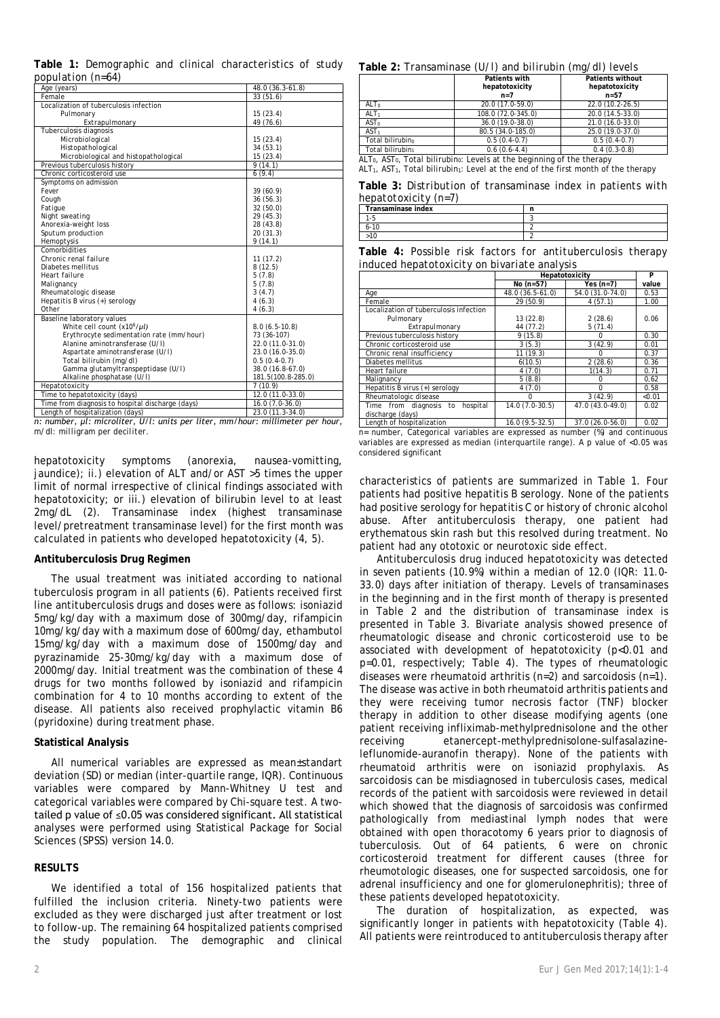|             | Table 1: Demographic and clinical characteristics of study |  |                  |  |
|-------------|------------------------------------------------------------|--|------------------|--|
|             | population (n=64)                                          |  |                  |  |
| Age (years) |                                                            |  | 48 0 (36 3-61 8) |  |

| Age (years)                                      | 48.0 (36.3-61.8)   |
|--------------------------------------------------|--------------------|
| Female                                           | 33(51.6)           |
| Localization of tuberculosis infection           |                    |
| Pulmonary                                        | 15(23.4)           |
| Extrapulmonary                                   | 49 (76.6)          |
| Tuberculosis diagnosis                           |                    |
| Microbiological                                  | 15(23.4)           |
| Histopathological                                | 34(53.1)           |
| Microbiological and histopathological            | 15(23.4)           |
| Previous tuberculosis history                    | 9(14.1)            |
| Chronic corticosteroid use                       | 6(9.4)             |
| Symptoms on admission                            |                    |
| Fever                                            | 39(60.9)           |
| Cough                                            | 36(56.3)           |
| Fatique                                          | 32(50.0)           |
| Night sweating                                   | 29 (45.3)          |
| Anorexia-weight loss                             | 28 (43.8)          |
| Sputum production                                | 20(31.3)           |
| Hemoptysis                                       | 9(14.1)            |
| Comorbidities                                    |                    |
| Chronic renal failure                            | 11(17.2)           |
| Diabetes mellitus                                | 8(12.5)            |
| Heart failure                                    | 5(7.8)             |
| Malignancy                                       | 5(7.8)             |
| Rheumatologic disease                            | 3(4.7)             |
| Hepatitis B virus (+) serology                   | 4(6.3)             |
| Other                                            | 4(6.3)             |
| Baseline laboratory values                       |                    |
| White cell count (x10 <sup>6</sup> /µl)          | $8.0(6.5-10.8)$    |
| Erythrocyte sedimentation rate (mm/hour)         | 73 (36-107)        |
| Alanine aminotransferase (U/I)                   | 22.0 (11.0-31.0)   |
| Aspartate aminotransferase (U/I)                 | 23.0 (16.0-35.0)   |
| Total bilirubin (mg/dl)                          | $0.5(0.4-0.7)$     |
| Gamma glutamyltranspeptidase (U/I)               | 38.0 (16.8-67.0)   |
| Alkaline phosphatase (U/I)                       | 181.5(100.8-285.0) |
| Hepatotoxicity                                   | 7(10.9)            |
| Time to hepatotoxicity (days)                    | 12.0 (11.0-33.0)   |
| Time from diagnosis to hospital discharge (days) | $16.0(7.0-36.0)$   |
| Length of hospitalization (days)                 | 23.0 (11.3-34.0)   |

*n: number, μl: microliter, U/l: units per liter, mm/hour: millimeter per hour, m/dl: milligram per deciliter.*

hepatotoxicity symptoms (anorexia, nausea-vomitting, jaundice); ii.) elevation of ALT and/or AST >5 times the upper limit of normal irrespective of clinical findings associated with hepatotoxicity; or iii.) elevation of bilirubin level to at least 2mg/dL (2). Transaminase index (highest transaminase level/pretreatment transaminase level) for the first month was calculated in patients who developed hepatotoxicity (4, 5).

## **Antituberculosis Drug Regimen**

The usual treatment was initiated according to national tuberculosis program in all patients (6). Patients received first line antituberculosis drugs and doses were as follows: isoniazid 5mg/kg/day with a maximum dose of 300mg/day, rifampicin 10mg/kg/day with a maximum dose of 600mg/day, ethambutol 15mg/kg/day with a maximum dose of 1500mg/day and pyrazinamide 25-30mg/kg/day with a maximum dose of 2000mg/day. Initial treatment was the combination of these 4 drugs for two months followed by isoniazid and rifampicin combination for 4 to 10 months according to extent of the disease. All patients also received prophylactic vitamin B6 (pyridoxine) during treatment phase.

# **Statistical Analysis**

All numerical variables are expressed as mean±standart deviation (SD) or median (inter-quartile range, IQR). Continuous variables were compared by Mann-Whitney U test and categorical variables were compared by Chi-square test. A twotailed p value of ≤0.05 was considered significant. All statistical analyses were performed using Statistical Package for Social Sciences (SPSS) version 14.0.

# **RESULTS**

We identified a total of 156 hospitalized patients that fulfilled the inclusion criteria. Ninety-two patients were excluded as they were discharged just after treatment or lost to follow-up. The remaining 64 hospitalized patients comprised the study population. The demographic and clinical

#### **Table 2:** *Transaminase (U/l) and bilirubin (mg/dl) levels*

|                  | Patients with      | <b>Patients without</b> |
|------------------|--------------------|-------------------------|
|                  | hepatotoxicity     | hepatotoxicity          |
|                  | $n=7$              | $n=57$                  |
| ALTo             | 20.0 (17.0-59.0)   | 22.0 (10.2-26.5)        |
| ALT <sub>1</sub> | 108.0 (72.0-345.0) | 20.0 (14.5-33.0)        |
| AST <sub>0</sub> | 36.0 (19.0-38.0)   | 21.0 (16.0-33.0)        |
| AST <sub>1</sub> | 80.5 (34.0-185.0)  | 25.0 (19.0-37.0)        |
| Total bilirubino | $0.5(0.4-0.7)$     | $0.5(0.4-0.7)$          |
| Total bilirubin- | $0.6(0.6-4.4)$     | $0.4(0.3-0.8)$          |

 $ALT<sub>0</sub>$ ,  $AST<sub>0</sub>$ , Total bilirubin<sub>0</sub>: Levels at the beginning of the therapy ALT<sub>1</sub>, AST<sub>1</sub>, Total bilirubin<sub>1</sub>: Level at the end of the first month of the therapy

**Table 3:** *Distribution of transaminase index in patients with hepatotoxicity (n=7)*

| Transaminase index |  |
|--------------------|--|
|                    |  |
| 10<br>6- IU        |  |
|                    |  |

**Table 4:** *Possible risk factors for antituberculosis therapy induced hepatotoxicity on bivariate analysis*

|                                                        | Hepatotoxicity         |                  | P      |
|--------------------------------------------------------|------------------------|------------------|--------|
|                                                        | No $(n=57)$            | Yes $(n=7)$      | value  |
| Age                                                    | 48.0 (36.5-61.0)       | 54.0 (31.0-74.0) | 0.53   |
| Female                                                 | 29 (50.9)              | 4(57.1)          | 1.00   |
| Localization of tuberculosis infection                 |                        |                  |        |
| Pulmonary                                              | 13(22.8)               | 2(28.6)          | 0.06   |
| Extrapulmonary                                         | 44 (77.2)              | 5(71.4)          |        |
| Previous tuberculosis history                          | 9(15.8)                |                  | 0.30   |
| Chronic corticosteroid use                             | 3(5.3)                 | 3(42.9)          | 0.01   |
| Chronic renal insufficiency                            | 11(19.3)               | 0                | 0.37   |
| Diabetes mellitus                                      | 6(10.5)                | 2(28.6)          | 0.36   |
| Heart failure                                          | 4(7.0)                 | 1(14.3)          | 0.71   |
| Malignancy                                             | 5(8.8)                 |                  | 0,62   |
| Hepatitis B virus (+) serology                         | 4(7.0)                 | $\Omega$         | 0.58   |
| Rheumatologic disease                                  | O                      | 3(42.9)          | < 0.01 |
| hospital<br>Time from diagnosis to<br>discharge (days) | 14.0 (7.0-30.5)        | 47.0 (43.0-49.0) | 0.02   |
| Longth of hospitalization                              | $16 \cap (0.5 - 22.5)$ | 37.0.126.056.01  | በ በን   |

Length of hospitalization \_\_\_\_\_\_\_\_\_\_\_\_\_16.0 (9.5-32.5) = 1 = 37.0 (26.0-56.0) = 1 = 0.02<br>n= number, Categorical variables are expressed as number (%) and continuous variables are expressed as median (interquartile range). A p value of <0.05 was considered significant

characteristics of patients are summarized in Table 1. Four patients had positive hepatitis B serology. None of the patients had positive serology for hepatitis C or history of chronic alcohol abuse. After antituberculosis therapy, one patient had erythematous skin rash but this resolved during treatment. No patient had any ototoxic or neurotoxic side effect.

Antituberculosis drug induced hepatotoxicity was detected in seven patients (10.9%) within a median of 12.0 (IQR: 11.0- 33.0) days after initiation of therapy. Levels of transaminases in the beginning and in the first month of therapy is presented in Table 2 and the distribution of transaminase index is presented in Table 3. Bivariate analysis showed presence of rheumatologic disease and chronic corticosteroid use to be associated with development of hepatotoxicity (p<0.01 and p=0.01, respectively; Table 4). The types of rheumatologic diseases were rheumatoid arthritis (n=2) and sarcoidosis (n=1). The disease was active in both rheumatoid arthritis patients and they were receiving tumor necrosis factor (TNF) blocker therapy in addition to other disease modifying agents (one patient receiving infliximab-methylprednisolone and the other receiving etanercept-methylprednisolone-sulfasalazineleflunomide-auranofin therapy). None of the patients with rheumatoid arthritis were on isoniazid prophylaxis. As sarcoidosis can be misdiagnosed in tuberculosis cases, medical records of the patient with sarcoidosis were reviewed in detail which showed that the diagnosis of sarcoidosis was confirmed pathologically from mediastinal lymph nodes that were obtained with open thoracotomy 6 years prior to diagnosis of tuberculosis. Out of 64 patients, 6 were on chronic corticosteroid treatment for different causes (three for rheumotologic diseases, one for suspected sarcoidosis, one for adrenal insufficiency and one for glomerulonephritis); three of these patients developed hepatotoxicity.

The duration of hospitalization, as expected, was significantly longer in patients with hepatotoxicity (Table 4). All patients were reintroduced to antituberculosis therapy after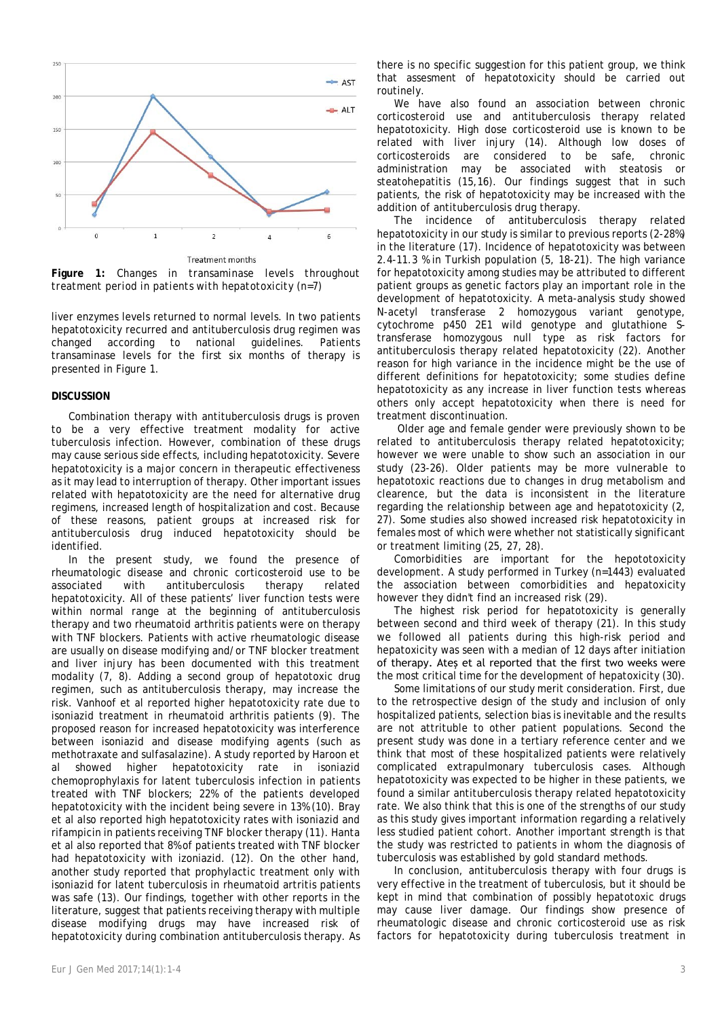

**Figure 1:** *Changes in transaminase levels throughout treatment period in patients with hepatotoxicity (n=7)*

liver enzymes levels returned to normal levels. In two patients hepatotoxicity recurred and antituberculosis drug regimen was changed according to national guidelines. Patients transaminase levels for the first six months of therapy is presented in Figure 1.

## **DISCUSSION**

Combination therapy with antituberculosis drugs is proven to be a very effective treatment modality for active tuberculosis infection. However, combination of these drugs may cause serious side effects, including hepatotoxicity. Severe hepatotoxicity is a major concern in therapeutic effectiveness as it may lead to interruption of therapy. Other important issues related with hepatotoxicity are the need for alternative drug regimens, increased length of hospitalization and cost. Because of these reasons, patient groups at increased risk for antituberculosis drug induced hepatotoxicity should be identified.

In the present study, we found the presence of rheumatologic disease and chronic corticosteroid use to be associated with antituberculosis therapy related hepatotoxicity. All of these patients' liver function tests were within normal range at the beginning of antituberculosis therapy and two rheumatoid arthritis patients were on therapy with TNF blockers. Patients with active rheumatologic disease are usually on disease modifying and/or TNF blocker treatment and liver injury has been documented with this treatment modality (7, 8). Adding a second group of hepatotoxic drug regimen, such as antituberculosis therapy, may increase the risk. Vanhoof et al reported higher hepatotoxicity rate due to isoniazid treatment in rheumatoid arthritis patients (9). The proposed reason for increased hepatotoxicity was interference between isoniazid and disease modifying agents (such as methotraxate and sulfasalazine). A study reported by Haroon et al showed higher hepatotoxicity rate in isoniazid chemoprophylaxis for latent tuberculosis infection in patients treated with TNF blockers; 22% of the patients developed hepatotoxicity with the incident being severe in 13% (10). Bray et al also reported high hepatotoxicity rates with isoniazid and rifampicin in patients receiving TNF blocker therapy (11). Hanta et al also reported that 8% of patients treated with TNF blocker had hepatotoxicity with izoniazid. (12). On the other hand, another study reported that prophylactic treatment only with isoniazid for latent tuberculosis in rheumatoid artritis patients was safe (13). Our findings, together with other reports in the literature, suggest that patients receiving therapy with multiple disease modifying drugs may have increased risk of hepatotoxicity during combination antituberculosis therapy. As

We have also found an association between chronic corticosteroid use and antituberculosis therapy related hepatotoxicity. High dose corticosteroid use is known to be related with liver injury (14). Although low doses of corticosteroids are considered to be safe, chronic administration may be associated with steatosis or steatohepatitis (15,16). Our findings suggest that in such patients, the risk of hepatotoxicity may be increased with the addition of antituberculosis drug therapy.

The incidence of antituberculosis therapy related hepatotoxicity in our study is similar to previous reports (2-28%) in the literature (17). Incidence of hepatotoxicity was between 2.4-11.3 % in Turkish population (5, 18-21). The high variance for hepatotoxicity among studies may be attributed to different patient groups as genetic factors play an important role in the development of hepatotoxicity. A meta-analysis study showed N-acetyl transferase 2 homozygous variant genotype, cytochrome p450 2E1 wild genotype and glutathione Stransferase homozygous null type as risk factors for antituberculosis therapy related hepatotoxicity (22). Another reason for high variance in the incidence might be the use of different definitions for hepatotoxicity; some studies define hepatotoxicity as any increase in liver function tests whereas others only accept hepatotoxicity when there is need for treatment discontinuation.

Older age and female gender were previously shown to be related to antituberculosis therapy related hepatotoxicity; however we were unable to show such an association in our study (23-26). Older patients may be more vulnerable to hepatotoxic reactions due to changes in drug metabolism and clearence, but the data is inconsistent in the literature regarding the relationship between age and hepatotoxicity (2, 27). Some studies also showed increased risk hepatotoxicity in females most of which were whether not statistically significant or treatment limiting (25, 27, 28).

Comorbidities are important for the hepototoxicity development. A study performed in Turkey (n=1443) evaluated the association between comorbidities and hepatoxicity however they didn't find an increased risk (29).

The highest risk period for hepatotoxicity is generally between second and third week of therapy (21). In this study we followed all patients during this high-risk period and hepatoxicity was seen with a median of 12 days after initiation of therapy. Ateş et al reported that the first two weeks were the most critical time for the development of hepatoxicity (30).

Some limitations of our study merit consideration. First, due to the retrospective design of the study and inclusion of only hospitalized patients, selection bias is inevitable and the results are not attrituble to other patient populations. Second the present study was done in a tertiary reference center and we think that most of these hospitalized patients were relatively complicated extrapulmonary tuberculosis cases. Although hepatotoxicity was expected to be higher in these patients, we found a similar antituberculosis therapy related hepatotoxicity rate. We also think that this is one of the strengths of our study as this study gives important information regarding a relatively less studied patient cohort. Another important strength is that the study was restricted to patients in whom the diagnosis of tuberculosis was established by gold standard methods.

In conclusion, antituberculosis therapy with four drugs is very effective in the treatment of tuberculosis, but it should be kept in mind that combination of possibly hepatotoxic drugs may cause liver damage. Our findings show presence of rheumatologic disease and chronic corticosteroid use as risk factors for hepatotoxicity during tuberculosis treatment in